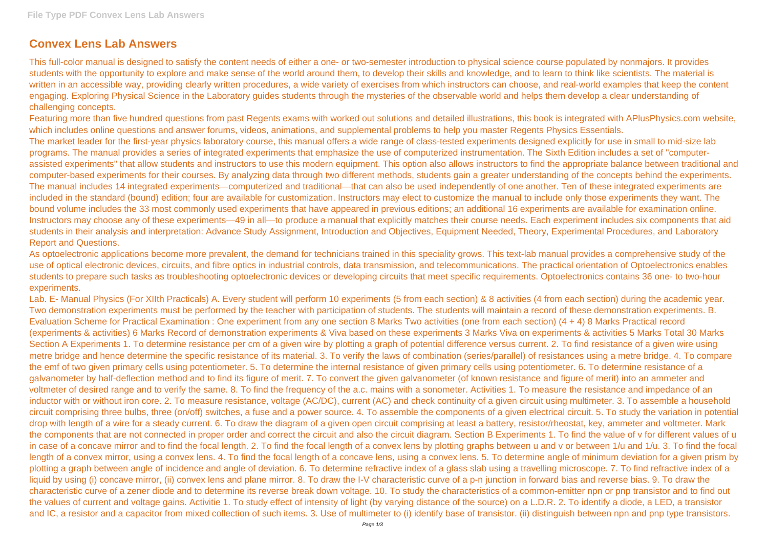## **Convex Lens Lab Answers**

This full-color manual is designed to satisfy the content needs of either a one- or two-semester introduction to physical science course populated by nonmajors. It provides students with the opportunity to explore and make sense of the world around them, to develop their skills and knowledge, and to learn to think like scientists. The material is written in an accessible way, providing clearly written procedures, a wide variety of exercises from which instructors can choose, and real-world examples that keep the content engaging. Exploring Physical Science in the Laboratory guides students through the mysteries of the observable world and helps them develop a clear understanding of challenging concepts.

Featuring more than five hundred questions from past Regents exams with worked out solutions and detailed illustrations, this book is integrated with APlusPhysics.com website, which includes online questions and answer forums, videos, animations, and supplemental problems to help you master Regents Physics Essentials. The market leader for the first-year physics laboratory course, this manual offers a wide range of class-tested experiments designed explicitly for use in small to mid-size lab programs. The manual provides a series of integrated experiments that emphasize the use of computerized instrumentation. The Sixth Edition includes a set of "computerassisted experiments" that allow students and instructors to use this modern equipment. This option also allows instructors to find the appropriate balance between traditional and computer-based experiments for their courses. By analyzing data through two different methods, students gain a greater understanding of the concepts behind the experiments. The manual includes 14 integrated experiments—computerized and traditional—that can also be used independently of one another. Ten of these integrated experiments are included in the standard (bound) edition; four are available for customization. Instructors may elect to customize the manual to include only those experiments they want. The bound volume includes the 33 most commonly used experiments that have appeared in previous editions; an additional 16 experiments are available for examination online. Instructors may choose any of these experiments—49 in all—to produce a manual that explicitly matches their course needs. Each experiment includes six components that aid students in their analysis and interpretation: Advance Study Assignment, Introduction and Objectives, Equipment Needed, Theory, Experimental Procedures, and Laboratory Report and Questions.

As optoelectronic applications become more prevalent, the demand for technicians trained in this speciality grows. This text-lab manual provides a comprehensive study of the use of optical electronic devices, circuits, and fibre optics in industrial controls, data transmission, and telecommunications. The practical orientation of Optoelectronics enables students to prepare such tasks as troubleshooting optoelectronic devices or developing circuits that meet specific requirements. Optoelectronics contains 36 one- to two-hour experiments.

Lab. E- Manual Physics (For XIIth Practicals) A. Every student will perform 10 experiments (5 from each section) & 8 activities (4 from each section) during the academic year. Two demonstration experiments must be performed by the teacher with participation of students. The students will maintain a record of these demonstration experiments. B. Evaluation Scheme for Practical Examination : One experiment from any one section 8 Marks Two activities (one from each section) (4 + 4) 8 Marks Practical record (experiments & activities) 6 Marks Record of demonstration experiments & Viva based on these experiments 3 Marks Viva on experiments & activities 5 Marks Total 30 Marks Section A Experiments 1. To determine resistance per cm of a given wire by plotting a graph of potential difference versus current. 2. To find resistance of a given wire using metre bridge and hence determine the specific resistance of its material. 3. To verify the laws of combination (series/parallel) of resistances using a metre bridge. 4. To compare the emf of two given primary cells using potentiometer. 5. To determine the internal resistance of given primary cells using potentiometer. 6. To determine resistance of a galvanometer by half-deflection method and to find its figure of merit. 7. To convert the given galvanometer (of known resistance and figure of merit) into an ammeter and voltmeter of desired range and to verify the same. 8. To find the frequency of the a.c. mains with a sonometer. Activities 1. To measure the resistance and impedance of an inductor with or without iron core. 2. To measure resistance, voltage (AC/DC), current (AC) and check continuity of a given circuit using multimeter. 3. To assemble a household circuit comprising three bulbs, three (on/off) switches, a fuse and a power source. 4. To assemble the components of a given electrical circuit. 5. To study the variation in potential drop with length of a wire for a steady current. 6. To draw the diagram of a given open circuit comprising at least a battery, resistor/rheostat, key, ammeter and voltmeter. Mark the components that are not connected in proper order and correct the circuit and also the circuit diagram. Section B Experiments 1. To find the value of v for different values of u in case of a concave mirror and to find the focal length. 2. To find the focal length of a convex lens by plotting graphs between u and v or between 1/u and 1/u. 3. To find the focal length of a convex mirror, using a convex lens. 4. To find the focal length of a concave lens, using a convex lens. 5. To determine angle of minimum deviation for a given prism by plotting a graph between angle of incidence and angle of deviation. 6. To determine refractive index of a glass slab using a travelling microscope. 7. To find refractive index of a liquid by using (i) concave mirror, (ii) convex lens and plane mirror. 8. To draw the I-V characteristic curve of a p-n junction in forward bias and reverse bias. 9. To draw the characteristic curve of a zener diode and to determine its reverse break down voltage. 10. To study the characteristics of a common-emitter npn or pnp transistor and to find out the values of current and voltage gains. Activitie 1. To study effect of intensity of light (by varying distance of the source) on a L.D.R. 2. To identify a diode, a LED, a transistor and IC, a resistor and a capacitor from mixed collection of such items. 3. Use of multimeter to (i) identify base of transistor. (ii) distinguish between npn and pnp type transistors.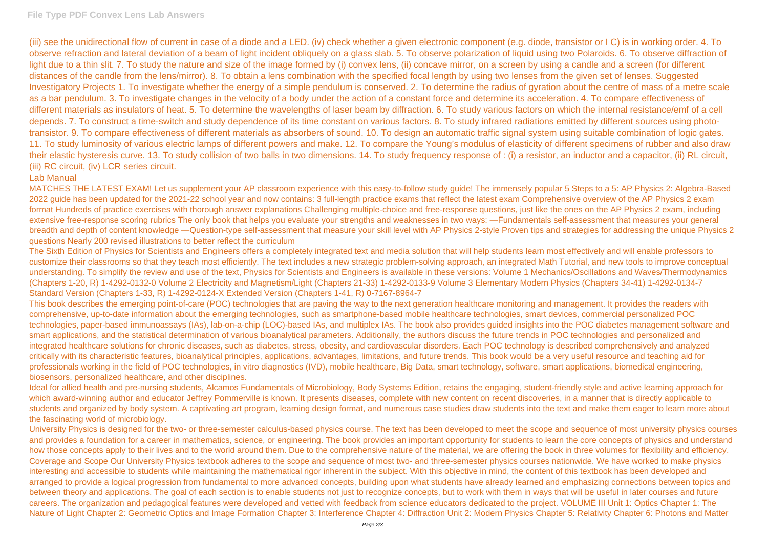(iii) see the unidirectional flow of current in case of a diode and a LED. (iv) check whether a given electronic component (e.g. diode, transistor or I C) is in working order. 4. To observe refraction and lateral deviation of a beam of light incident obliquely on a glass slab. 5. To observe polarization of liquid using two Polaroids. 6. To observe diffraction of light due to a thin slit. 7. To study the nature and size of the image formed by (i) convex lens, (ii) concave mirror, on a screen by using a candle and a screen (for different distances of the candle from the lens/mirror). 8. To obtain a lens combination with the specified focal length by using two lenses from the given set of lenses. Suggested Investigatory Projects 1. To investigate whether the energy of a simple pendulum is conserved. 2. To determine the radius of gyration about the centre of mass of a metre scale as a bar pendulum. 3. To investigate changes in the velocity of a body under the action of a constant force and determine its acceleration. 4. To compare effectiveness of different materials as insulators of heat. 5. To determine the wavelengths of laser beam by diffraction. 6. To study various factors on which the internal resistance/emf of a cell depends. 7. To construct a time-switch and study dependence of its time constant on various factors. 8. To study infrared radiations emitted by different sources using phototransistor. 9. To compare effectiveness of different materials as absorbers of sound. 10. To design an automatic traffic signal system using suitable combination of logic gates. 11. To study luminosity of various electric lamps of different powers and make. 12. To compare the Young's modulus of elasticity of different specimens of rubber and also draw their elastic hysteresis curve. 13. To study collision of two balls in two dimensions. 14. To study frequency response of : (i) a resistor, an inductor and a capacitor, (ii) RL circuit, (iii) RC circuit, (iv) LCR series circuit.

## Lab Manual

MATCHES THE LATEST EXAM! Let us supplement your AP classroom experience with this easy-to-follow study guide! The immensely popular 5 Steps to a 5: AP Physics 2: Algebra-Based 2022 guide has been updated for the 2021-22 school year and now contains: 3 full-length practice exams that reflect the latest exam Comprehensive overview of the AP Physics 2 exam format Hundreds of practice exercises with thorough answer explanations Challenging multiple-choice and free-response questions, just like the ones on the AP Physics 2 exam, including extensive free-response scoring rubrics The only book that helps you evaluate your strengths and weaknesses in two ways: —Fundamentals self-assessment that measures your general breadth and depth of content knowledge —Question-type self-assessment that measure your skill level with AP Physics 2-style Proven tips and strategies for addressing the unique Physics 2 questions Nearly 200 revised illustrations to better reflect the curriculum

Ideal for allied health and pre-nursing students, Alcamos Fundamentals of Microbiology, Body Systems Edition, retains the engaging, student-friendly style and active learning approach for which award-winning author and educator Jeffrey Pommerville is known. It presents diseases, complete with new content on recent discoveries, in a manner that is directly applicable to students and organized by body system. A captivating art program, learning design format, and numerous case studies draw students into the text and make them eager to learn more about the fascinating world of microbiology.

The Sixth Edition of Physics for Scientists and Engineers offers a completely integrated text and media solution that will help students learn most effectively and will enable professors to customize their classrooms so that they teach most efficiently. The text includes a new strategic problem-solving approach, an integrated Math Tutorial, and new tools to improve conceptual understanding. To simplify the review and use of the text, Physics for Scientists and Engineers is available in these versions: Volume 1 Mechanics/Oscillations and Waves/Thermodynamics (Chapters 1-20, R) 1-4292-0132-0 Volume 2 Electricity and Magnetism/Light (Chapters 21-33) 1-4292-0133-9 Volume 3 Elementary Modern Physics (Chapters 34-41) 1-4292-0134-7 Standard Version (Chapters 1-33, R) 1-4292-0124-X Extended Version (Chapters 1-41, R) 0-7167-8964-7

This book describes the emerging point-of-care (POC) technologies that are paving the way to the next generation healthcare monitoring and management. It provides the readers with comprehensive, up-to-date information about the emerging technologies, such as smartphone-based mobile healthcare technologies, smart devices, commercial personalized POC technologies, paper-based immunoassays (IAs), lab-on-a-chip (LOC)-based IAs, and multiplex IAs. The book also provides guided insights into the POC diabetes management software and smart applications, and the statistical determination of various bioanalytical parameters. Additionally, the authors discuss the future trends in POC technologies and personalized and integrated healthcare solutions for chronic diseases, such as diabetes, stress, obesity, and cardiovascular disorders. Each POC technology is described comprehensively and analyzed critically with its characteristic features, bioanalytical principles, applications, advantages, limitations, and future trends. This book would be a very useful resource and teaching aid for professionals working in the field of POC technologies, in vitro diagnostics (IVD), mobile healthcare, Big Data, smart technology, software, smart applications, biomedical engineering, biosensors, personalized healthcare, and other disciplines.

University Physics is designed for the two- or three-semester calculus-based physics course. The text has been developed to meet the scope and sequence of most university physics courses and provides a foundation for a career in mathematics, science, or engineering. The book provides an important opportunity for students to learn the core concepts of physics and understand how those concepts apply to their lives and to the world around them. Due to the comprehensive nature of the material, we are offering the book in three volumes for flexibility and efficiency. Coverage and Scope Our University Physics textbook adheres to the scope and sequence of most two- and three-semester physics courses nationwide. We have worked to make physics interesting and accessible to students while maintaining the mathematical rigor inherent in the subject. With this objective in mind, the content of this textbook has been developed and arranged to provide a logical progression from fundamental to more advanced concepts, building upon what students have already learned and emphasizing connections between topics and between theory and applications. The goal of each section is to enable students not just to recognize concepts, but to work with them in ways that will be useful in later courses and future careers. The organization and pedagogical features were developed and vetted with feedback from science educators dedicated to the project. VOLUME III Unit 1: Optics Chapter 1: The Nature of Light Chapter 2: Geometric Optics and Image Formation Chapter 3: Interference Chapter 4: Diffraction Unit 2: Modern Physics Chapter 5: Relativity Chapter 6: Photons and Matter